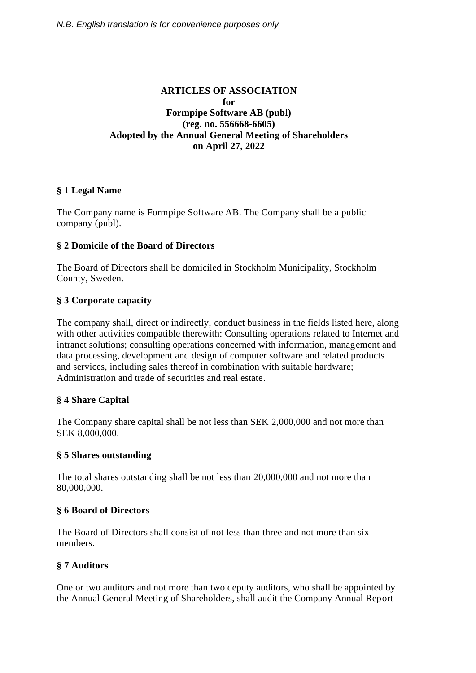## **ARTICLES OF ASSOCIATION for Formpipe Software AB (publ) (reg. no. 556668-6605) Adopted by the Annual General Meeting of Shareholders on April 27, 2022**

## **§ 1 Legal Name**

The Company name is Formpipe Software AB. The Company shall be a public company (publ).

## **§ 2 Domicile of the Board of Directors**

The Board of Directors shall be domiciled in Stockholm Municipality, Stockholm County, Sweden.

## **§ 3 Corporate capacity**

The company shall, direct or indirectly, conduct business in the fields listed here, along with other activities compatible therewith: Consulting operations related to Internet and intranet solutions; consulting operations concerned with information, management and data processing, development and design of computer software and related products and services, including sales thereof in combination with suitable hardware; Administration and trade of securities and real estate.

## **§ 4 Share Capital**

The Company share capital shall be not less than SEK 2,000,000 and not more than SEK 8,000,000.

## **§ 5 Shares outstanding**

The total shares outstanding shall be not less than 20,000,000 and not more than 80,000,000.

## **§ 6 Board of Directors**

The Board of Directors shall consist of not less than three and not more than six members.

## **§ 7 Auditors**

One or two auditors and not more than two deputy auditors, who shall be appointed by the Annual General Meeting of Shareholders, shall audit the Company Annual Report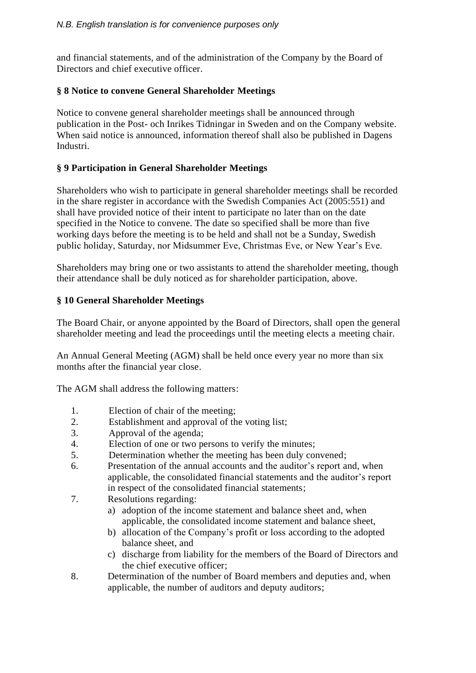and financial statements, and of the administration of the Company by the Board of Directors and chief executive officer.

## **§ 8 Notice to convene General Shareholder Meetings**

Notice to convene general shareholder meetings shall be announced through publication in the Post- och Inrikes Tidningar in Sweden and on the Company website. When said notice is announced, information thereof shall also be published in Dagens Industri.

# **§ 9 Participation in General Shareholder Meetings**

Shareholders who wish to participate in general shareholder meetings shall be recorded in the share register in accordance with the Swedish Companies Act (2005:551) and shall have provided notice of their intent to participate no later than on the date specified in the Notice to convene. The date so specified shall be more than five working days before the meeting is to be held and shall not be a Sunday, Swedish public holiday, Saturday, nor Midsummer Eve, Christmas Eve, or New Year's Eve.

Shareholders may bring one or two assistants to attend the shareholder meeting, though their attendance shall be duly noticed as for shareholder participation, above.

# **§ 10 General Shareholder Meetings**

The Board Chair, or anyone appointed by the Board of Directors, shall open the general shareholder meeting and lead the proceedings until the meeting elects a meeting chair.

An Annual General Meeting (AGM) shall be held once every year no more than six months after the financial year close.

The AGM shall address the following matters:

- 1. Election of chair of the meeting;
- 2. Establishment and approval of the voting list;
- 3. Approval of the agenda;
- 4. Election of one or two persons to verify the minutes;
- 5. Determination whether the meeting has been duly convened;
- 6. Presentation of the annual accounts and the auditor's report and, when applicable, the consolidated financial statements and the auditor's report in respect of the consolidated financial statements;
- 7. Resolutions regarding:
	- a) adoption of the income statement and balance sheet and, when applicable, the consolidated income statement and balance sheet,
	- b) allocation of the Company's profit or loss according to the adopted balance sheet, and
	- c) discharge from liability for the members of the Board of Directors and the chief executive officer;
- 8. Determination of the number of Board members and deputies and, when applicable, the number of auditors and deputy auditors;